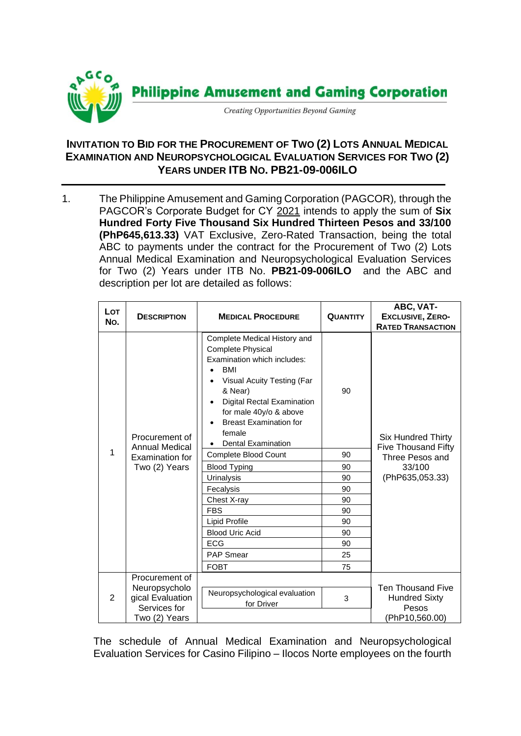

## **INVITATION TO BID FOR THE PROCUREMENT OF TWO (2) LOTS ANNUAL MEDICAL EXAMINATION AND NEUROPSYCHOLOGICAL EVALUATION SERVICES FOR TWO (2) YEARS UNDER ITB NO. PB21-09-006ILO**

1. The Philippine Amusement and Gaming Corporation (PAGCOR)*,* through the PAGCOR's Corporate Budget for CY 2021 intends to apply the sum of **Six Hundred Forty Five Thousand Six Hundred Thirteen Pesos and 33/100 (PhP645,613.33)** VAT Exclusive, Zero-Rated Transaction, being the total ABC to payments under the contract for the Procurement of Two (2) Lots Annual Medical Examination and Neuropsychological Evaluation Services for Two (2) Years under ITB No. **PB21-09-006ILO** and the ABC and description per lot are detailed as follows:

| <b>Lot</b><br>No. | <b>DESCRIPTION</b>                                                          | <b>MEDICAL PROCEDURE</b>                                                                                                                                                                                                                                                              | <b>QUANTITY</b> | ABC, VAT-<br><b>EXCLUSIVE, ZERO-</b><br><b>RATED TRANSACTION</b>                                 |
|-------------------|-----------------------------------------------------------------------------|---------------------------------------------------------------------------------------------------------------------------------------------------------------------------------------------------------------------------------------------------------------------------------------|-----------------|--------------------------------------------------------------------------------------------------|
| 1                 | Procurement of<br><b>Annual Medical</b><br>Examination for<br>Two (2) Years | Complete Medical History and<br><b>Complete Physical</b><br>Examination which includes:<br><b>BMI</b><br>Visual Acuity Testing (Far<br>& Near)<br><b>Digital Rectal Examination</b><br>for male 40y/o & above<br><b>Breast Examination for</b><br>female<br><b>Dental Examination</b> | 90              | <b>Six Hundred Thirty</b><br>Five Thousand Fifty<br>Three Pesos and<br>33/100<br>(PhP635,053.33) |
|                   |                                                                             | Complete Blood Count                                                                                                                                                                                                                                                                  | 90              |                                                                                                  |
|                   |                                                                             | <b>Blood Typing</b>                                                                                                                                                                                                                                                                   | 90              |                                                                                                  |
|                   |                                                                             | Urinalysis                                                                                                                                                                                                                                                                            | 90              |                                                                                                  |
|                   |                                                                             | Fecalysis                                                                                                                                                                                                                                                                             | 90              |                                                                                                  |
|                   |                                                                             | Chest X-ray                                                                                                                                                                                                                                                                           | 90              |                                                                                                  |
|                   |                                                                             | <b>FBS</b>                                                                                                                                                                                                                                                                            | 90              |                                                                                                  |
|                   |                                                                             | Lipid Profile                                                                                                                                                                                                                                                                         | 90              |                                                                                                  |
|                   |                                                                             | <b>Blood Uric Acid</b>                                                                                                                                                                                                                                                                | 90              |                                                                                                  |
|                   |                                                                             | <b>ECG</b>                                                                                                                                                                                                                                                                            | 90              |                                                                                                  |
|                   |                                                                             | <b>PAP Smear</b>                                                                                                                                                                                                                                                                      | 25              |                                                                                                  |
|                   |                                                                             | <b>FOBT</b>                                                                                                                                                                                                                                                                           | 75              |                                                                                                  |
| $\overline{2}$    | Procurement of<br>Neuropsycholo<br>gical Evaluation<br>Services for         | Neuropsychological evaluation<br>for Driver                                                                                                                                                                                                                                           | 3               | <b>Ten Thousand Five</b><br><b>Hundred Sixty</b><br>Pesos                                        |
|                   | Two (2) Years                                                               |                                                                                                                                                                                                                                                                                       |                 | (PhP10,560.00)                                                                                   |

The schedule of Annual Medical Examination and Neuropsychological Evaluation Services for Casino Filipino – Ilocos Norte employees on the fourth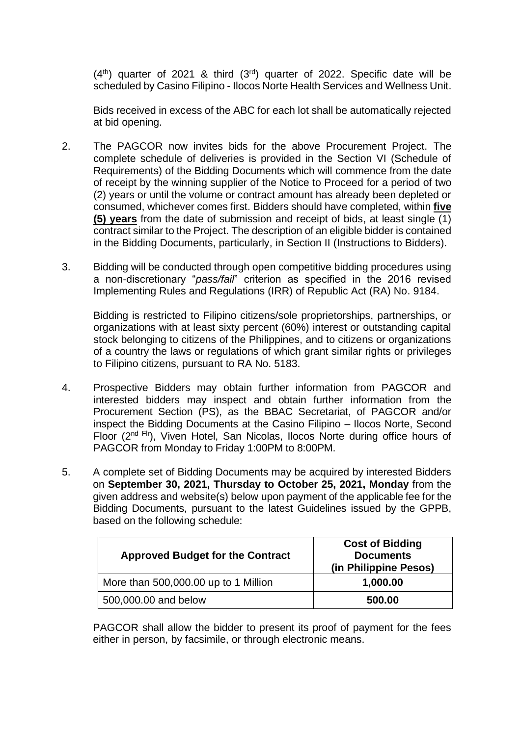$(4<sup>th</sup>)$  quarter of 2021 & third  $(3<sup>rd</sup>)$  quarter of 2022. Specific date will be scheduled by Casino Filipino - Ilocos Norte Health Services and Wellness Unit.

Bids received in excess of the ABC for each lot shall be automatically rejected at bid opening.

- 2. The PAGCOR now invites bids for the above Procurement Project. The complete schedule of deliveries is provided in the Section VI (Schedule of Requirements) of the Bidding Documents which will commence from the date of receipt by the winning supplier of the Notice to Proceed for a period of two (2) years or until the volume or contract amount has already been depleted or consumed, whichever comes first. Bidders should have completed, within **five (5) years** from the date of submission and receipt of bids, at least single (1) contract similar to the Project. The description of an eligible bidder is contained in the Bidding Documents, particularly, in Section II (Instructions to Bidders).
- 3. Bidding will be conducted through open competitive bidding procedures using a non-discretionary "*pass/fail*" criterion as specified in the 2016 revised Implementing Rules and Regulations (IRR) of Republic Act (RA) No. 9184.

Bidding is restricted to Filipino citizens/sole proprietorships, partnerships, or organizations with at least sixty percent (60%) interest or outstanding capital stock belonging to citizens of the Philippines, and to citizens or organizations of a country the laws or regulations of which grant similar rights or privileges to Filipino citizens, pursuant to RA No. 5183.

- 4. Prospective Bidders may obtain further information from PAGCOR and interested bidders may inspect and obtain further information from the Procurement Section (PS), as the BBAC Secretariat, of PAGCOR and/or inspect the Bidding Documents at the Casino Filipino – Ilocos Norte, Second Floor (2<sup>nd Flr</sup>), Viven Hotel, San Nicolas, Ilocos Norte during office hours of PAGCOR from Monday to Friday 1:00PM to 8:00PM.
- 5. A complete set of Bidding Documents may be acquired by interested Bidders on **September 30, 2021, Thursday to October 25, 2021, Monday** from the given address and website(s) below upon payment of the applicable fee for the Bidding Documents, pursuant to the latest Guidelines issued by the GPPB, based on the following schedule:

| <b>Approved Budget for the Contract</b> | <b>Cost of Bidding</b><br><b>Documents</b><br>(in Philippine Pesos) |  |
|-----------------------------------------|---------------------------------------------------------------------|--|
| More than 500,000.00 up to 1 Million    | 1,000.00                                                            |  |
| 500,000.00 and below                    | 500.00                                                              |  |

PAGCOR shall allow the bidder to present its proof of payment for the fees either in person, by facsimile, or through electronic means.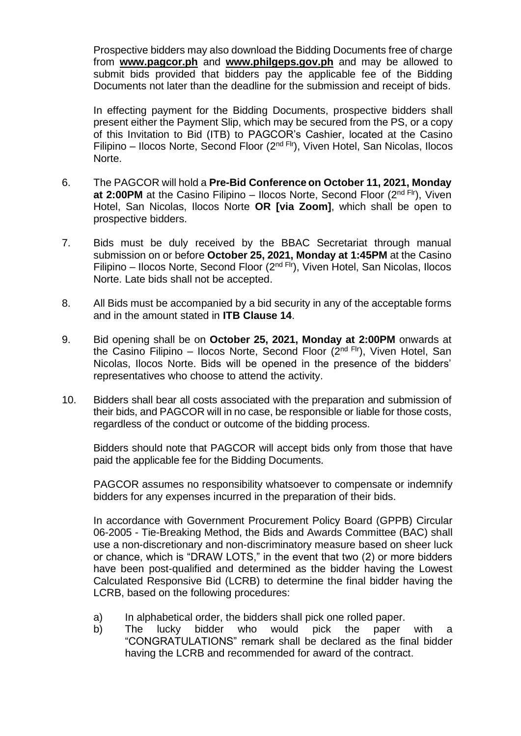Prospective bidders may also download the Bidding Documents free of charge from **[www.pagcor.ph](http://www.pagcor.ph/)** and **www.philgeps.gov.ph** and may be allowed to submit bids provided that bidders pay the applicable fee of the Bidding Documents not later than the deadline for the submission and receipt of bids.

In effecting payment for the Bidding Documents, prospective bidders shall present either the Payment Slip, which may be secured from the PS, or a copy of this Invitation to Bid (ITB) to PAGCOR's Cashier, located at the Casino Filipino – Ilocos Norte, Second Floor ( $2<sup>nd Fri</sup>$ ), Viven Hotel, San Nicolas, Ilocos Norte.

- 6. The PAGCOR will hold a **Pre-Bid Conference on October 11, 2021, Monday at 2:00PM** at the Casino Filipino – Ilocos Norte, Second Floor (2<sup>nd Flr</sup>), Viven Hotel, San Nicolas, Ilocos Norte **OR [via Zoom]**, which shall be open to prospective bidders.
- 7. Bids must be duly received by the BBAC Secretariat through manual submission on or before **October 25, 2021, Monday at 1:45PM** at the Casino Filipino – Ilocos Norte, Second Floor ( $2<sup>nd Fri</sup>$ ), Viven Hotel, San Nicolas, Ilocos Norte. Late bids shall not be accepted.
- 8. All Bids must be accompanied by a bid security in any of the acceptable forms and in the amount stated in **ITB Clause 14**.
- 9. Bid opening shall be on **October 25, 2021, Monday at 2:00PM** onwards at the Casino Filipino – Ilocos Norte, Second Floor  $(2^{nd}$  Flr), Viven Hotel, San Nicolas, Ilocos Norte. Bids will be opened in the presence of the bidders' representatives who choose to attend the activity.
- 10. Bidders shall bear all costs associated with the preparation and submission of their bids, and PAGCOR will in no case, be responsible or liable for those costs, regardless of the conduct or outcome of the bidding process.

Bidders should note that PAGCOR will accept bids only from those that have paid the applicable fee for the Bidding Documents.

PAGCOR assumes no responsibility whatsoever to compensate or indemnify bidders for any expenses incurred in the preparation of their bids.

In accordance with Government Procurement Policy Board (GPPB) Circular 06-2005 - Tie-Breaking Method, the Bids and Awards Committee (BAC) shall use a non-discretionary and non-discriminatory measure based on sheer luck or chance, which is "DRAW LOTS," in the event that two (2) or more bidders have been post-qualified and determined as the bidder having the Lowest Calculated Responsive Bid (LCRB) to determine the final bidder having the LCRB, based on the following procedures:

- a) In alphabetical order, the bidders shall pick one rolled paper.
- b) The lucky bidder who would pick the paper with a "CONGRATULATIONS" remark shall be declared as the final bidder having the LCRB and recommended for award of the contract.